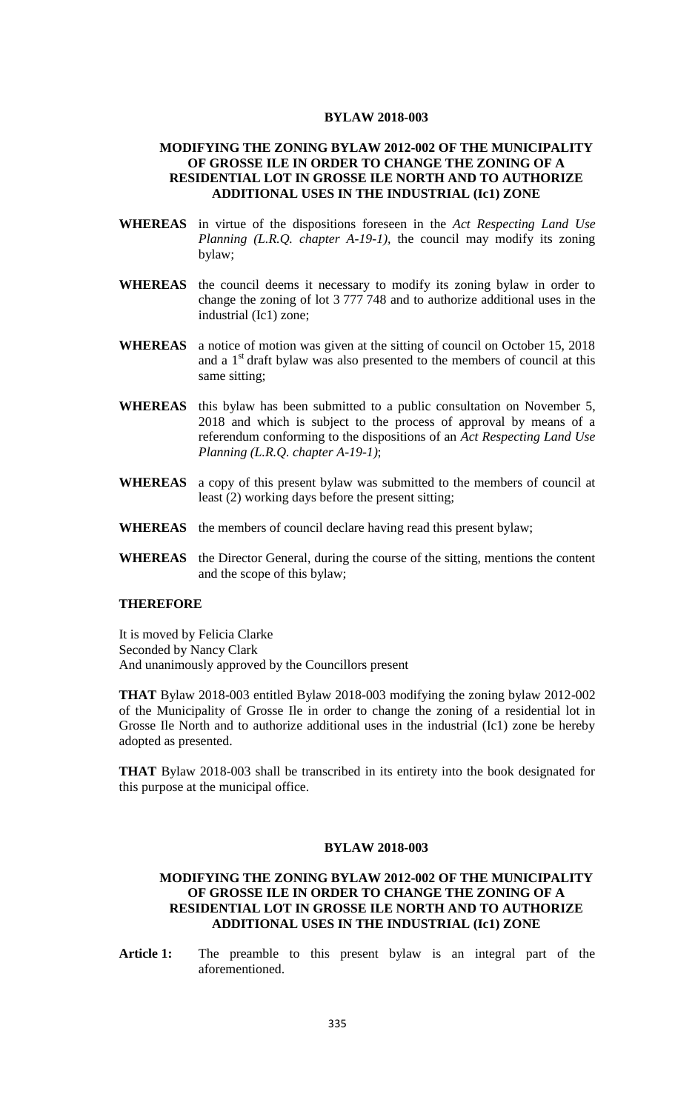#### **BYLAW 2018-003**

## **MODIFYING THE ZONING BYLAW 2012-002 OF THE MUNICIPALITY OF GROSSE ILE IN ORDER TO CHANGE THE ZONING OF A RESIDENTIAL LOT IN GROSSE ILE NORTH AND TO AUTHORIZE ADDITIONAL USES IN THE INDUSTRIAL (Ic1) ZONE**

- **WHEREAS** in virtue of the dispositions foreseen in the *Act Respecting Land Use Planning (L.R.Q. chapter A-19-1),* the council may modify its zoning bylaw;
- **WHEREAS** the council deems it necessary to modify its zoning bylaw in order to change the zoning of lot 3 777 748 and to authorize additional uses in the industrial (Ic1) zone;
- **WHEREAS** a notice of motion was given at the sitting of council on October 15, 2018 and a  $1<sup>st</sup>$  draft bylaw was also presented to the members of council at this same sitting;
- **WHEREAS** this bylaw has been submitted to a public consultation on November 5, 2018 and which is subject to the process of approval by means of a referendum conforming to the dispositions of an *Act Respecting Land Use Planning (L.R.Q. chapter A-19-1)*;
- **WHEREAS** a copy of this present bylaw was submitted to the members of council at least (2) working days before the present sitting;
- **WHEREAS** the members of council declare having read this present bylaw;
- **WHEREAS** the Director General, during the course of the sitting, mentions the content and the scope of this bylaw;

## **THEREFORE**

It is moved by Felicia Clarke Seconded by Nancy Clark And unanimously approved by the Councillors present

**THAT** Bylaw 2018-003 entitled Bylaw 2018-003 modifying the zoning bylaw 2012-002 of the Municipality of Grosse Ile in order to change the zoning of a residential lot in Grosse Ile North and to authorize additional uses in the industrial (Ic1) zone be hereby adopted as presented.

**THAT** Bylaw 2018-003 shall be transcribed in its entirety into the book designated for this purpose at the municipal office.

#### **BYLAW 2018-003**

# **MODIFYING THE ZONING BYLAW 2012-002 OF THE MUNICIPALITY OF GROSSE ILE IN ORDER TO CHANGE THE ZONING OF A RESIDENTIAL LOT IN GROSSE ILE NORTH AND TO AUTHORIZE ADDITIONAL USES IN THE INDUSTRIAL (Ic1) ZONE**

**Article 1:** The preamble to this present bylaw is an integral part of the aforementioned.